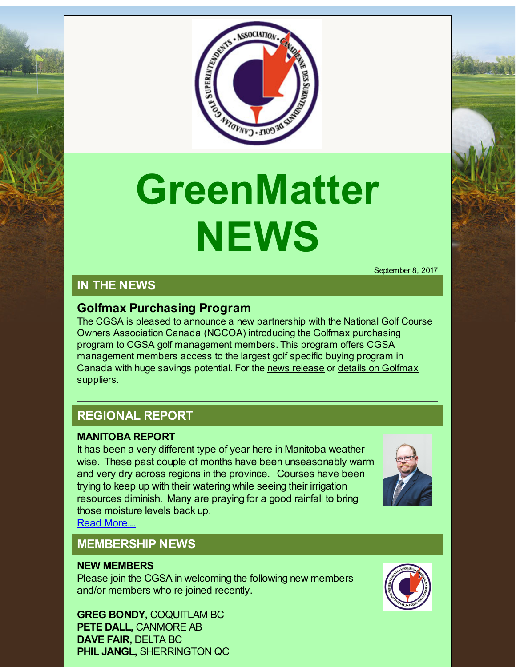

# **GreenMatter NEWS**

September 8, 2017

# **IN THE NEWS**

## **Golfmax Purchasing Program**

The CGSA is pleased to announce a new partnership with the National Golf Course Owners Association Canada (NGCOA) introducing the Golfmax purchasing program to CGSA golf management members. This program offers CGSA management members access to the largest golf specific buying program in Canada with huge savings potential. For the news [release](http://r20.rs6.net/tn.jsp?f=001uyzCsaFALvyf4hCTyYVjpydOXftxIm5399R-gMjdlM4qhucoWUcRVvagky2HXKpDumRB-KhrZdT_KLbBoQxyZCxophCpLWKlAAvLMTQCrHsvZToocjZsYPZ-b-aTi1JROfJp6kz0TFPxViMc-y5X9vE1dyQU4vtfP0kaVxmdfmUwuq_1leRPAzxVlDwefyZeRdkqrcqzbtY8Tbbj7wnJY48pY3v-runvBDSdts2NUS_hWntKazNnhpgNhKrdEvIK&c=&ch=) or details on Golfmax [suppliers.](http://r20.rs6.net/tn.jsp?f=001uyzCsaFALvyf4hCTyYVjpydOXftxIm5399R-gMjdlM4qhucoWUcRVvagky2HXKpDoCEuwpMsb8QETtfQMMd07MoJp7wJrUtFA0fnrCiOyfhqYrR-AwTIZdajFT4_eTePLrjc6ohOWbaLWUju2yb5td4ptFovI93oRfJrpHA7wSZ5dZJiOvGKHGeVejfMLsv1fXBXjUIjzxptXSdWd22iQQ3KNfARSzzg8RGwZteWnaWwshKdvFhFR0qoM-67BVDIwm36XW0pbxzht9xE9qBn9S866mokogZ_n59EsRvFwIk=&c=&ch=)

## **REGIONAL REPORT**

#### **MANITOBA REPORT**

It has been a very different type of year here in Manitoba weather wise. These past couple of months have been unseasonably warm and very dry across regions in the province. Courses have been trying to keep up with their watering while seeing their irrigation resources diminish. Many are praying for a good rainfall to bring those moisture levels back up.

Read [More....](http://r20.rs6.net/tn.jsp?f=001uyzCsaFALvyf4hCTyYVjpydOXftxIm5399R-gMjdlM4qhucoWUcRVoEoEG7-Uvl0qK4mRy32Ck2zGoOiOvu9KxFPkyL0u7Gtkmk8sXEklmEGSeG0KsxzYjoMeHRqpFWqVaHIKGd1fq-H5nq81vkGiRRUDC2lrUvsJBSOlqoM5mguP-7bJYq067R23Pc3DSKGt3XOdyc6-EBOhg_n7JEUdlSIvIP5VwlLspkKQxdOaehr01JVomeSvak9k1QmrZEF&c=&ch=)

## **MEMBERSHIP NEWS**

#### **NEW MEMBERS**

Please join the CGSA in welcoming the following new members and/or members who re-joined recently.

**GREG BONDY,** COQUITLAM BC **PETE DALL,** CANMORE AB **DAVE FAIR,** DELTA BC **PHIL JANGL,** SHERRINGTON QC



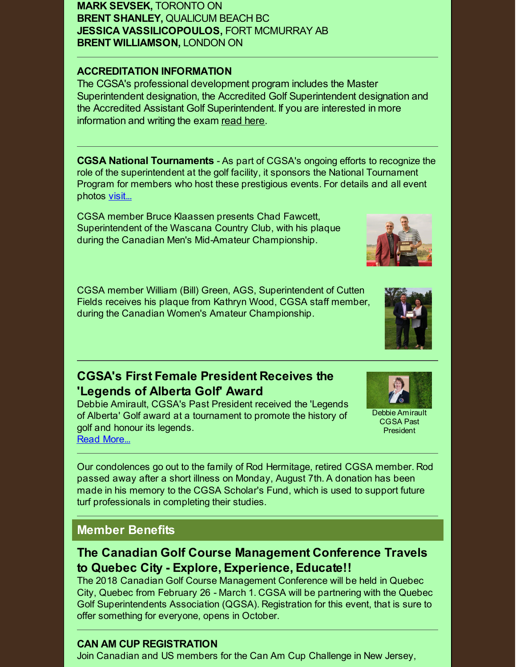**MARK SEVSEK,** TORONTO ON **BRENT SHANLEY,** QUALICUM BEACH BC **JESSICA VASSILICOPOULOS,** FORT MCMURRAY AB **BRENT WILLIAMSON,** LONDON ON

#### **ACCREDITATION INFORMATION**

The CGSA's professional development program includes the Master Superintendent designation, the Accredited Golf Superintendent designation and the Accredited Assistant Golf Superintendent. If you are interested in more information and writing the exam [read](http://r20.rs6.net/tn.jsp?f=001uyzCsaFALvyf4hCTyYVjpydOXftxIm5399R-gMjdlM4qhucoWUcRVr7uCA7aR9PsrrXlE_VHr3h0YFWfiWYlxzsb1qxAcGmKEq5MEw9miiueyhTjoouN1g9O5WQzHxrXOpUMexpymvhwN6SicJXAOysoYNbzmIpG8_nr2SBvQfiaSag30qmyyjbD2gdxAIgCP7_sSfP7tQIPzESb13RBGHt19NCI9EOO&c=&ch=) here.

**CGSA National Tournaments** - As part of CGSA's ongoing efforts to recognize the role of the superintendent at the golf facility, it sponsors the National Tournament Program for members who host these prestigious events. For details and all event photos [visit...](http://r20.rs6.net/tn.jsp?f=001uyzCsaFALvyf4hCTyYVjpydOXftxIm5399R-gMjdlM4qhucoWUcRVumasAGFoLR_y6jFv36ZG1BNzNlo5CVwSgsIPHPxAr89-mwzMz5eT3WJSMLWPbLNryBDigUauo85BPHC4Sy1K6yVaQox7AEDkfxq0fTcZ4QxdpNpR7Yx3GE6_FYnl-8h8kbg3d6bDuJNU85CNELdYNxQqOUu0StaLA==&c=&ch=)

CGSA member Bruce Klaassen presents Chad Fawcett, Superintendent of the Wascana Country Club, with his plaque during the Canadian Men's Mid-Amateur Championship.

CGSA member William (Bill) Green, AGS, Superintendent of Cutten Fields receives his plaque from Kathryn Wood, CGSA staff member, during the Canadian Women's Amateur Championship.

## **CGSA's First Female President Receives the 'Legends of Alberta Golf' Award**

Debbie Amirault, CGSA's Past President received the 'Legends of Alberta' Golf award at a tournament to promote the history of golf and honour its legends. Read [More...](http://r20.rs6.net/tn.jsp?f=001uyzCsaFALvyf4hCTyYVjpydOXftxIm5399R-gMjdlM4qhucoWUcRVvagky2HXKpDLsEs5L0jG2ifxCIJbtSAnl8r8cEJVsFbKesz2OjqwRJI2EuMok74dnctlYJHx_mqYBWsoE59161eLfyktaOvgQfmX8dxceFJmfQdf0mLK4l951_V8CF54TqZ-Jl4dLcL6iequS-F28fwcXEykzCSaB8Sr0VN5u9g3EkyyETT6ypjonQskCargOr8QOP6Sb-S&c=&ch=)



President

Our condolences go out to the family of Rod Hermitage, retired CGSA member. Rod passed away after a short illness on Monday, August 7th. A donation has been made in his memory to the CGSA Scholar's Fund, which is used to support future turf professionals in completing their studies.

## **Member Benefits**

## **The Canadian Golf Course Management Conference Travels to Quebec City - Explore, Experience, Educate!!**

The 2018 Canadian Golf Course Management Conference will be held in Quebec City, Quebec from February 26 - March 1. CGSA will be partnering with the Quebec Golf Superintendents Association (QGSA). Registration for this event, that is sure to offer something for everyone, opens in October.

#### **CAN AM CUP REGISTRATION**

Join Canadian and US members for the Can Am Cup Challenge in New Jersey,